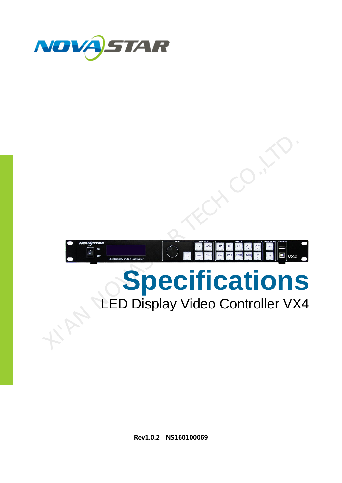



# **Specifications**

## LED Display Video Controller VX4

**Rev1.0.2 NS160100069**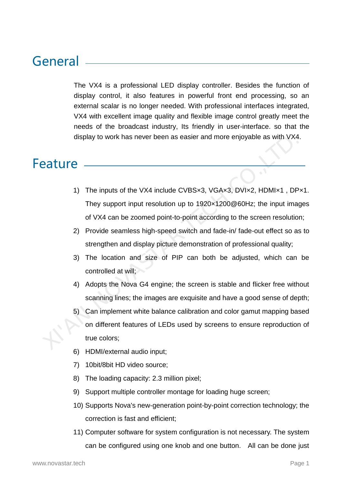## General

The VX4 is a professional LED display controller. Besides the function of display control, it also features in powerful front end processing, so an external scalar is no longer needed. With professional interfaces integrated, VX4 with excellent image quality and flexible image control greatly meet the needs of the broadcast industry, Its friendly in user-interface. so that the display to work has never been as easier and more enjoyable as with VX4.

## Feature

- 1) The inputs of the VX4 include CVBS×3, VGA×3, DVI×2, HDMI×1 , DP×1. They support input resolution up to 1920×1200@60Hz; the input images of VX4 can be zoomed point-to-point according to the screen resolution;
- 2) Provide seamless high-speed switch and fade-in/ fade-out effect so as to strengthen and display picture demonstration of professional quality;
- 3) The location and size of PIP can both be adjusted, which can be controlled at will;
- 4) Adopts the Nova G4 engine; the screen is stable and flicker free without scanning lines; the images are exquisite and have a good sense of depth;
- 5) Can implement white balance calibration and color gamut mapping based on different features of LEDs used by screens to ensure reproduction of true colors; display to work has never been as easier and more enjoyable as with VX4<br>
2019<br>
1) The inputs of the VX4 include CVBSx3, VGAx3, DVIx2, HDMIx1, DF<br>
They support input resolution up to 1920x1200@60Hz; the input ima<br>
of VX4 ca
	- 6) HDMI/external audio input;
	- 7) 10bit/8bit HD video source;
	- 8) The loading capacity: 2.3 million pixel;
	- 9) Support multiple controller montage for loading huge screen;
	- 10) Supports Nova's new-generation point-by-point correction technology; the correction is fast and efficient;
	- 11) Computer software for system configuration is not necessary. The system can be configured using one knob and one button. All can be done just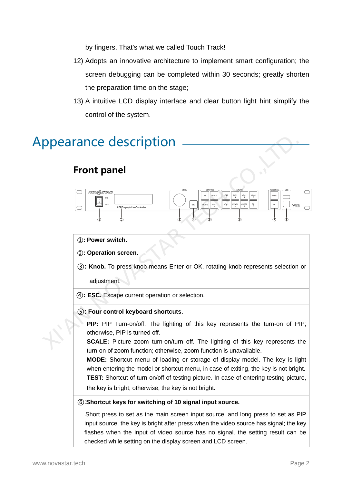by fingers. That's what we called Touch Track!

- 12) Adopts an innovative architecture to implement smart configuration; the screen debugging can be completed within 30 seconds; greatly shorten the preparation time on the stage;
- 13) A intuitive LCD display interface and clear button light hint simplify the control of the system.

## Appearance description

## **Front panel**



#### ①**: Power switch.**

②**: Operation screen.**

③**: Knob.** To press knob means Enter or OK, rotating knob represents selection or

adjustment.

④**: ESC.** Escape current operation or selection.

#### ⑤**: Four control keyboard shortcuts.**

**PIP:** PIP Turn-on/off. The lighting of this key represents the turn-on of PIP; otherwise, PIP is turned off.

**SCALE:** Picture zoom turn-on/turn off. The lighting of this key represents the turn-on of zoom function; otherwise, zoom function is unavailable.

**MODE:** Shortcut menu of loading or storage of display model. The key is light when entering the model or shortcut menu, in case of exiting, the key is not bright. **TEST:** Shortcut of turn-on/off of testing picture. In case of entering testing picture, the key is bright; otherwise, the key is not bright.

#### ⑥:**Shortcut keys for switching of 10 signal input source.**

Short press to set as the main screen input source, and long press to set as PIP input source. the key is bright after press when the video source has signal; the key flashes when the input of video source has no signal. the setting result can be checked while setting on the display screen and LCD screen.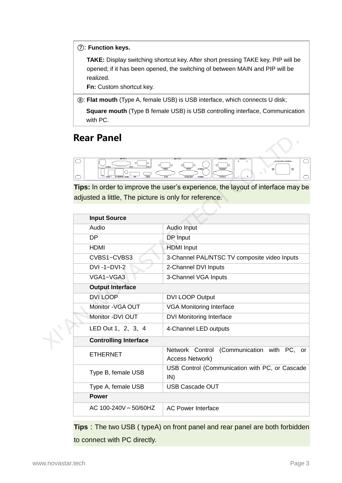⑦: **Function keys.**

**TAKE:** Display switching shortcut key. After short pressing TAKE key, PIP will be opened; if it has been opened, the switching of between MAIN and PIP will be realized.

**Fn:** Custom shortcut key.

⑧: **Flat mouth** (Type A, female USB) is USB interface, which connects U disk;

**Square mouth** (Type B female USB) is USB controlling interface, Communication with PC.

## **Rear Panel**



| Rear Panel                                            |                                                                                                                 |  |  |  |
|-------------------------------------------------------|-----------------------------------------------------------------------------------------------------------------|--|--|--|
| ◯<br>$\circ$<br>이<br>CVBS <sup>-</sup><br>∩<br>⌒      | $\bigcirc$<br>AC100-240V~50/60Hz<br>VGA2<br>VGA3<br><b>VGAOUT</b><br>$\circledcirc$<br>⊚<br><b>DVI2LOC</b><br>◯ |  |  |  |
| adjusted a little, The picture is only for reference. | Tips: In order to improve the user's experience, the layout of interface may be                                 |  |  |  |
|                                                       |                                                                                                                 |  |  |  |
| <b>Input Source</b>                                   |                                                                                                                 |  |  |  |
| Audio                                                 | Audio Input                                                                                                     |  |  |  |
| <b>DP</b>                                             | DP Input                                                                                                        |  |  |  |
| <b>HDMI</b>                                           | <b>HDMI</b> Input                                                                                               |  |  |  |
| CVBS1~CVBS3                                           | 3-Channel PAL/NTSC TV composite video Inputs                                                                    |  |  |  |
| $DVI - 1 - DVI-2$                                     | 2-Channel DVI Inputs                                                                                            |  |  |  |
| VGA1~VGA3                                             | 3-Channel VGA Inputs                                                                                            |  |  |  |
| <b>Output Interface</b>                               |                                                                                                                 |  |  |  |
| <b>DVI LOOP</b>                                       | <b>DVI LOOP Output</b>                                                                                          |  |  |  |
| Monitor - VGA OUT                                     | <b>VGA Monitoring Interface</b>                                                                                 |  |  |  |
| Monitor -DVI OUT                                      | <b>DVI Monitoring Interface</b>                                                                                 |  |  |  |
| LED Out 1, 2, 3, 4                                    | 4-Channel LED outputs                                                                                           |  |  |  |
| <b>Controlling Interface</b>                          |                                                                                                                 |  |  |  |
| <b>ETHERNET</b>                                       | (Communication with PC,<br>Network Control<br>or<br>Access Network)                                             |  |  |  |
| Type B, female USB                                    | USB Control (Communication with PC, or Cascade<br>IN)                                                           |  |  |  |
| Type A, female USB                                    | <b>USB Cascade OUT</b>                                                                                          |  |  |  |
| <b>Power</b>                                          |                                                                                                                 |  |  |  |
| AC 100-240V ~ 50/60HZ                                 | <b>AC Power Interface</b>                                                                                       |  |  |  |

**Tips**: The two USB ( typeA) on front panel and rear panel are both forbidden to connect with PC directly.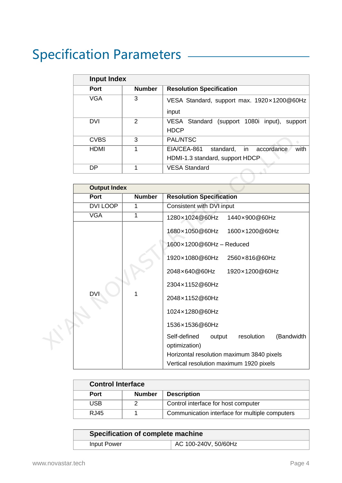## Specification Parameters

| <b>Input Index</b> |               |                                                                                          |  |
|--------------------|---------------|------------------------------------------------------------------------------------------|--|
| <b>Port</b>        | <b>Number</b> | <b>Resolution Specification</b>                                                          |  |
| VGA                | 3             | VESA Standard, support max. 1920×1200@60Hz<br>input                                      |  |
| <b>DVI</b>         | $\mathcal{P}$ | VESA Standard (support 1080i input),<br>support<br><b>HDCP</b>                           |  |
| <b>CVBS</b>        | 3             | <b>PAL/NTSC</b>                                                                          |  |
| <b>HDMI</b>        |               | with<br>EIA/CEA-861<br>standard,<br>accordance<br>-in<br>HDMI-1.3 standard, support HDCP |  |
| DP                 |               | <b>VESA Standard</b>                                                                     |  |

|  | <b>CVBS</b>         | 3             | PAL/NTSC                                                            |  |  |  |  |
|--|---------------------|---------------|---------------------------------------------------------------------|--|--|--|--|
|  | <b>HDMI</b>         | 1             | EIA/CEA-861<br>standard,<br>with<br>accordance<br>in                |  |  |  |  |
|  |                     |               | HDMI-1.3 standard, support HDCP                                     |  |  |  |  |
|  | <b>DP</b>           | 1             | <b>VESA Standard</b>                                                |  |  |  |  |
|  |                     |               |                                                                     |  |  |  |  |
|  | <b>Output Index</b> |               |                                                                     |  |  |  |  |
|  | <b>Port</b>         | <b>Number</b> | <b>Resolution Specification</b>                                     |  |  |  |  |
|  | DVI LOOP            | 1             | Consistent with DVI input                                           |  |  |  |  |
|  | <b>VGA</b>          | 1             | 1280×1024@60Hz<br>1440×900@60Hz                                     |  |  |  |  |
|  | <b>DVI</b>          | 1             | 1680×1050@60Hz<br>1600×1200@60Hz                                    |  |  |  |  |
|  |                     |               | 1600×1200@60Hz - Reduced<br>1920×1080@60Hz<br>2560×816@60Hz         |  |  |  |  |
|  |                     |               | 2048×640@60Hz<br>1920×1200@60Hz                                     |  |  |  |  |
|  |                     |               | 2304×1152@60Hz                                                      |  |  |  |  |
|  |                     |               | 2048×1152@60Hz                                                      |  |  |  |  |
|  |                     |               | 1024×1280@60Hz                                                      |  |  |  |  |
|  |                     |               | 1536×1536@60Hz                                                      |  |  |  |  |
|  |                     |               | Self-defined<br>resolution<br>(Bandwidth<br>output<br>optimization) |  |  |  |  |
|  |                     |               | Horizontal resolution maximum 3840 pixels                           |  |  |  |  |
|  |                     |               | Vertical resolution maximum 1920 pixels                             |  |  |  |  |

| <b>Control Interface</b> |               |                                                |
|--------------------------|---------------|------------------------------------------------|
| <b>Port</b>              | <b>Number</b> | <b>Description</b>                             |
| USB                      |               | Control interface for host computer            |
| RJ45                     |               | Communication interface for multiple computers |

| Specification of complete machine |                      |
|-----------------------------------|----------------------|
| Input Power                       | AC 100-240V, 50/60Hz |